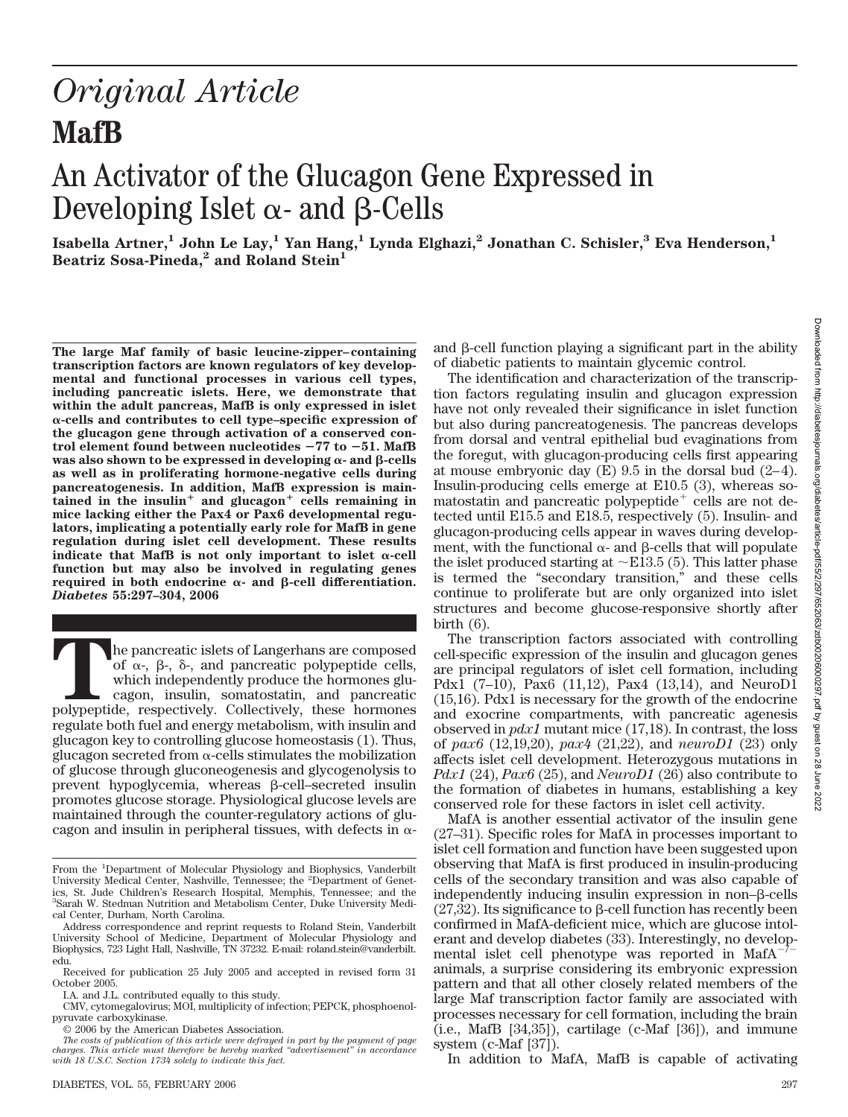# *Original Article* **MafB**

# An Activator of the Glucagon Gene Expressed in Developing Islet  $\alpha$ - and  $\beta$ -Cells

**Isabella Artner,<sup>1</sup> John Le Lay,<sup>1</sup> Yan Hang,<sup>1</sup> Lynda Elghazi,<sup>2</sup> Jonathan C. Schisler,<sup>3</sup> Eva Henderson,<sup>1</sup>** Beatriz Sosa-Pineda,<sup>2</sup> and Roland Stein<sup>1</sup>

**The large Maf family of basic leucine-zipper–containing transcription factors are known regulators of key developmental and functional processes in various cell types, including pancreatic islets. Here, we demonstrate that within the adult pancreas, MafB is only expressed in islet -cells and contributes to cell type–specific expression of the glucagon gene through activation of a conserved control element found between nucleotides** -**77 to** -**51. MafB was also shown to be expressed in developing**  $\alpha$ **- and**  $\beta$ **-cells as well as in proliferating hormone-negative cells during pancreatogenesis. In addition, MafB expression is main**tained in the insulin<sup>+</sup> and glucagon<sup>+</sup> cells remaining in **mice lacking either the Pax4 or Pax6 developmental regulators, implicating a potentially early role for MafB in gene regulation during islet cell development. These results** indicate that MafB is not only important to islet  $\alpha$ -cell **function but may also be involved in regulating genes** required in both endocrine  $\alpha$ - and  $\beta$ -cell differentiation. *Diabetes* **55:297–304, 2006**

**T**he pancreatic islets of Langerhans are composed of  $\alpha$ -,  $\beta$ -,  $\delta$ -, and pancreatic polypeptide cells, which independently produce the hormones glucagon, insulin, somatostatin, and pancreatic polypeptide, respectively. Collectively, these hormones regulate both fuel and energy metabolism, with insulin and glucagon key to controlling glucose homeostasis (1). Thus, glucagon secreted from  $\alpha$ -cells stimulates the mobilization of glucose through gluconeogenesis and glycogenolysis to prevent hypoglycemia, whereas  $\beta$ -cell–secreted insulin promotes glucose storage. Physiological glucose levels are maintained through the counter-regulatory actions of glucagon and insulin in peripheral tissues, with defects in  $\alpha$ -

and  $\beta$ -cell function playing a significant part in the ability of diabetic patients to maintain glycemic control.

The identification and characterization of the transcription factors regulating insulin and glucagon expression have not only revealed their significance in islet function but also during pancreatogenesis. The pancreas develops from dorsal and ventral epithelial bud evaginations from the foregut, with glucagon-producing cells first appearing at mouse embryonic day  $(E)$  9.5 in the dorsal bud  $(2-4)$ . Insulin-producing cells emerge at E10.5 (3), whereas somatostatin and pancreatic polypeptide<sup> $+$ </sup> cells are not detected until E15.5 and E18.5, respectively (5). Insulin- and glucagon-producing cells appear in waves during development, with the functional  $\alpha$ - and  $\beta$ -cells that will populate the islet produced starting at  $\sim$ E13.5 (5). This latter phase is termed the "secondary transition," and these cells continue to proliferate but are only organized into islet structures and become glucose-responsive shortly after birth  $(6)$ .

The transcription factors associated with controlling cell-specific expression of the insulin and glucagon genes are principal regulators of islet cell formation, including Pdx1 (7–10), Pax6 (11,12), Pax4 (13,14), and NeuroD1 (15,16). Pdx1 is necessary for the growth of the endocrine and exocrine compartments, with pancreatic agenesis observed in *pdx1* mutant mice (17,18). In contrast, the loss of *pax6* (12,19,20), *pax4* (21,22), and *neuroD1* (23) only affects islet cell development. Heterozygous mutations in *Pdx1* (24), *Pax6* (25), and *NeuroD1* (26) also contribute to the formation of diabetes in humans, establishing a key conserved role for these factors in islet cell activity.

MafA is another essential activator of the insulin gene (27–31). Specific roles for MafA in processes important to islet cell formation and function have been suggested upon observing that MafA is first produced in insulin-producing cells of the secondary transition and was also capable of independently inducing insulin expression in non– $\beta$ -cells  $(27,32)$ . Its significance to  $\beta$ -cell function has recently been confirmed in MafA-deficient mice, which are glucose intolerant and develop diabetes (33). Interestingly, no developmental islet cell phenotype was reported in MafA/ animals, a surprise considering its embryonic expression pattern and that all other closely related members of the large Maf transcription factor family are associated with processes necessary for cell formation, including the brain (i.e., MafB [34,35]), cartilage (c-Maf [36]), and immune system (c-Maf [37]).

In addition to MafA, MafB is capable of activating

From the <sup>1</sup>Department of Molecular Physiology and Biophysics, Vanderbilt University Medical Center, Nashville, Tennessee; the <sup>2</sup>Department of Genetics, St. Jude Children's Research Hospital, Memphis, Tennessee; and the 3 Sarah W. Stedman Nutrition and Metabolism Center, Duke University Medical Center, Durham, North Carolina.

Address correspondence and reprint requests to Roland Stein, Vanderbilt University School of Medicine, Department of Molecular Physiology and Biophysics, 723 Light Hall, Nashville, TN 37232. E-mail: roland.stein@vanderbilt. edu.

Received for publication 25 July 2005 and accepted in revised form 31 October 2005.

I.A. and J.L. contributed equally to this study.

CMV, cytomegalovirus; MOI, multiplicity of infection; PEPCK, phosphoenolpyruvate carboxykinase.

<sup>© 2006</sup> by the American Diabetes Association.

*The costs of publication of this article were defrayed in part by the payment of page charges. This article must therefore be hereby marked "advertisement" in accordance with 18 U.S.C. Section 1734 solely to indicate this fact.*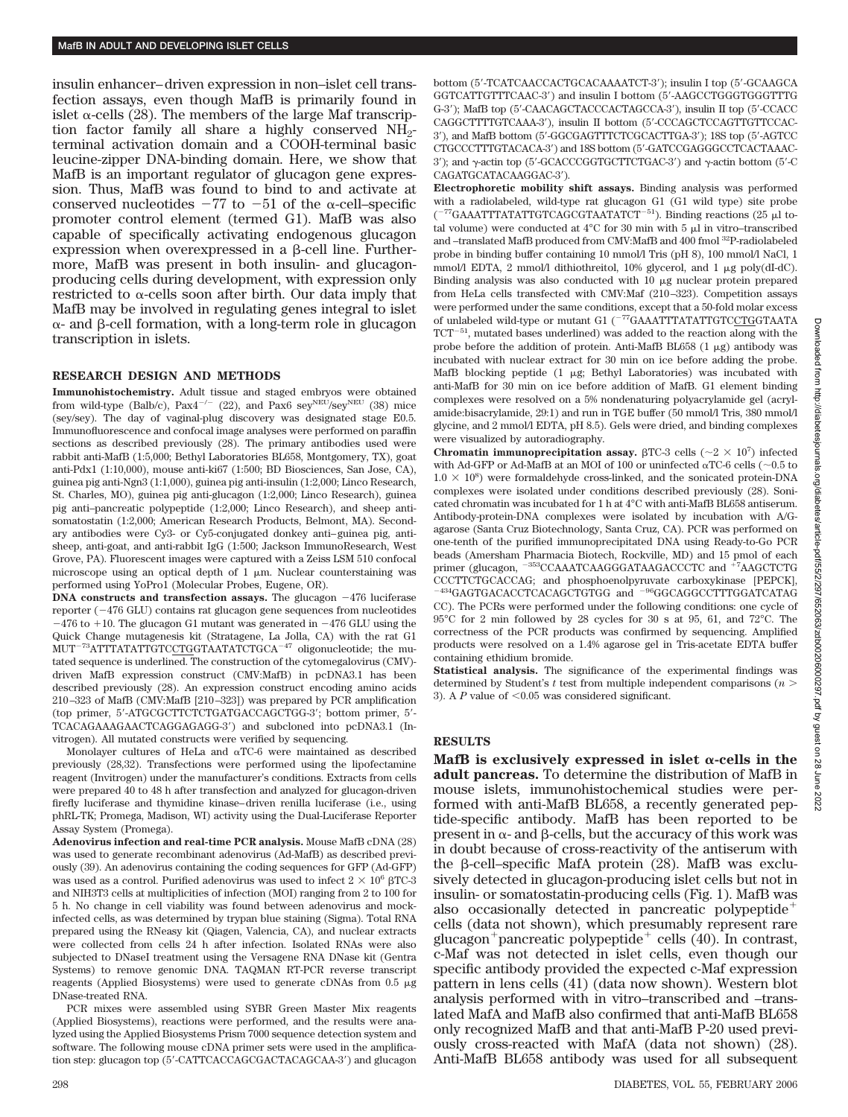insulin enhancer–driven expression in non–islet cell transfection assays, even though MafB is primarily found in islet  $\alpha$ -cells (28). The members of the large Maf transcription factor family all share a highly conserved  $NH<sub>2</sub>$ terminal activation domain and a COOH-terminal basic leucine-zipper DNA-binding domain. Here, we show that MafB is an important regulator of glucagon gene expression. Thus, MafB was found to bind to and activate at conserved nucleotides  $-77$  to  $-51$  of the  $\alpha$ -cell–specific promoter control element (termed G1). MafB was also capable of specifically activating endogenous glucagon expression when overexpressed in a  $\beta$ -cell line. Furthermore, MafB was present in both insulin- and glucagonproducing cells during development, with expression only restricted to  $\alpha$ -cells soon after birth. Our data imply that MafB may be involved in regulating genes integral to islet  $\alpha$ - and  $\beta$ -cell formation, with a long-term role in glucagon transcription in islets.

# **RESEARCH DESIGN AND METHODS**

**Immunohistochemistry.** Adult tissue and staged embryos were obtained from wild-type (Balb/c),  $Pax4^{-/-}$  (22), and Pax6 sey<sup>NEU</sup>/sey<sup>NEU</sup> (38) mice (sey/sey). The day of vaginal-plug discovery was designated stage E0.5. Immunofluorescence and confocal image analyses were performed on paraffin sections as described previously (28). The primary antibodies used were rabbit anti-MafB (1:5,000; Bethyl Laboratories BL658, Montgomery, TX), goat anti-Pdx1 (1:10,000), mouse anti-ki67 (1:500; BD Biosciences, San Jose, CA), guinea pig anti-Ngn3 (1:1,000), guinea pig anti-insulin (1:2,000; Linco Research, St. Charles, MO), guinea pig anti-glucagon (1:2,000; Linco Research), guinea pig anti–pancreatic polypeptide (1:2,000; Linco Research), and sheep antisomatostatin (1:2,000; American Research Products, Belmont, MA). Secondary antibodies were Cy3- or Cy5-conjugated donkey anti–guinea pig, antisheep, anti-goat, and anti-rabbit IgG (1:500; Jackson ImmunoResearch, West Grove, PA). Fluorescent images were captured with a Zeiss LSM 510 confocal microscope using an optical depth of  $1 \mu m$ . Nuclear counterstaining was performed using YoPro1 (Molecular Probes, Eugene, OR).

**DNA constructs and transfection assays.** The glucagon  $-476$  luciferase reporter  $(-476 \text{ GLU})$  contains rat glucagon gene sequences from nucleotides  $-476$  to  $+10$ . The glucagon G1 mutant was generated in  $-476$  GLU using the Quick Change mutagenesis kit (Stratagene, La Jolla, CA) with the rat G1  $MUT^{-73}ATTTATATTGTCCTGGTAATATCTGCA^{-47}$  oligonucleotide; the mutated sequence is underlined. The construction of the cytomegalovirus (CMV) driven MafB expression construct (CMV:MafB) in pcDNA3.1 has been described previously (28). An expression construct encoding amino acids 210–323 of MafB (CMV:MafB [210–323]) was prepared by PCR amplification (top primer, 5-ATGCGCTTCTCTGATGACCAGCTGG-3; bottom primer, 5- TCACAGAAAGAACTCAGGAGAGG-3) and subcloned into pcDNA3.1 (Invitrogen). All mutated constructs were verified by sequencing.

Monolayer cultures of HeLa and  $\alpha$ TC-6 were maintained as described previously (28,32). Transfections were performed using the lipofectamine reagent (Invitrogen) under the manufacturer's conditions. Extracts from cells were prepared 40 to 48 h after transfection and analyzed for glucagon-driven firefly luciferase and thymidine kinase–driven renilla luciferase (i.e., using phRL-TK; Promega, Madison, WI) activity using the Dual-Luciferase Reporter Assay System (Promega).

**Adenovirus infection and real-time PCR analysis.** Mouse MafB cDNA (28) was used to generate recombinant adenovirus (Ad-MafB) as described previously (39). An adenovirus containing the coding sequences for GFP (Ad-GFP) was used as a control. Purified adenovirus was used to infect  $2 \times 10^6$   $\beta$ TC-3 and NIH3T3 cells at multiplicities of infection (MOI) ranging from 2 to 100 for 5 h. No change in cell viability was found between adenovirus and mockinfected cells, as was determined by trypan blue staining (Sigma). Total RNA prepared using the RNeasy kit (Qiagen, Valencia, CA), and nuclear extracts were collected from cells 24 h after infection. Isolated RNAs were also subjected to DNaseI treatment using the Versagene RNA DNase kit (Gentra Systems) to remove genomic DNA. TAQMAN RT-PCR reverse transcript reagents (Applied Biosystems) were used to generate cDNAs from  $0.5 \mu$ g DNase-treated RNA.

PCR mixes were assembled using SYBR Green Master Mix reagents (Applied Biosystems), reactions were performed, and the results were analyzed using the Applied Biosystems Prism 7000 sequence detection system and software. The following mouse cDNA primer sets were used in the amplification step: glucagon top (5-CATTCACCAGCGACTACAGCAA-3) and glucagon bottom (5-TCATCAACCACTGCACAAAATCT-3); insulin I top (5-GCAAGCA GGTCATTGTTTCAAC-3) and insulin I bottom (5-AAGCCTGGGTGGGTTTG G-3); MafB top (5-CAACAGCTACCCACTAGCCA-3), insulin II top (5-CCACC CAGGCTTTTGTCAAA-3), insulin II bottom (5-CCCAGCTCCAGTTGTTCCAC-3), and MafB bottom (5-GGCGAGTTTCTCGCACTTGA-3); 18S top (5-AGTCC CTGCCCTTTGTACACA-3) and 18S bottom (5-GATCCGAGGGCCTCACTAAAC- $3'$ ); and  $\gamma$ -actin top (5'-GCACCCGGTGCTTCTGAC-3') and  $\gamma$ -actin bottom (5'-C CAGATGCATACAAGGAC-3).

**Electrophoretic mobility shift assays.** Binding analysis was performed with a radiolabeled, wild-type rat glucagon G1 (G1 wild type) site probe  $($ <sup>-77</sup>GAAATTTATATTGTCAGCGTAATATCT<sup>-51</sup>). Binding reactions (25  $\mu$ l total volume) were conducted at  $4^{\circ}$ C for 30 min with 5  $\mu$ l in vitro–transcribed and –translated MafB produced from CMV:MafB and 400 fmol 32P-radiolabeled probe in binding buffer containing 10 mmol/l Tris (pH 8), 100 mmol/l NaCl, 1 mmol/l EDTA, 2 mmol/l dithiothreitol, 10% glycerol, and 1  $\mu$ g poly(dI-dC). Binding analysis was also conducted with  $10 \mu$ g nuclear protein prepared from HeLa cells transfected with CMV:Maf (210–323). Competition assays were performed under the same conditions, except that a 50-fold molar excess of unlabeled wild-type or mutant G1 (<sup>-77</sup>GAAATTTATATTGTCCTGGTAATA  $\mathrm{TCT}^{-51},$  mutated bases underlined) was added to the reaction along with the probe before the addition of protein. Anti-MafB BL658  $(1 \mu g)$  antibody was incubated with nuclear extract for 30 min on ice before adding the probe. MafB blocking peptide  $(1 \mu g;$  Bethyl Laboratories) was incubated with anti-MafB for 30 min on ice before addition of MafB. G1 element binding complexes were resolved on a 5% nondenaturing polyacrylamide gel (acrylamide:bisacrylamide, 29:1) and run in TGE buffer (50 mmol/l Tris, 380 mmol/l glycine, and 2 mmol/l EDTA, pH 8.5). Gels were dried, and binding complexes were visualized by autoradiography.

**Chromatin immunoprecipitation assay.**  $\beta$ TC-3 cells ( $\sim$ 2  $\times$  10<sup>7</sup>) infected with Ad-GFP or Ad-MafB at an MOI of 100 or uninfected  $\alpha \text{T}$ 6 cells ( $\sim$ 0.5 to  $1.0 \times 10^8$ ) were formaldehyde cross-linked, and the sonicated protein-DNA complexes were isolated under conditions described previously (28). Sonicated chromatin was incubated for 1 h at 4°C with anti-MafB BL658 antiserum. Antibody-protein-DNA complexes were isolated by incubation with A/Gagarose (Santa Cruz Biotechnology, Santa Cruz, CA). PCR was performed on one-tenth of the purified immunoprecipitated DNA using Ready-to-Go PCR beads (Amersham Pharmacia Biotech, Rockville, MD) and 15 pmol of each primer (glucagon, <sup>-353</sup>CCAAATCAAGGGATAAGACCCTC and <sup>+7</sup>AAGCTCTG CCCTTCTGCACCAG; and phosphoenolpyruvate carboxykinase [PEPCK], 434GAGTGACACCTCACAGCTGTGG and <sup>-96</sup>GGCAGGCCTTTGGATCATAG CC). The PCRs were performed under the following conditions: one cycle of 95°C for 2 min followed by 28 cycles for 30 s at 95, 61, and 72°C. The correctness of the PCR products was confirmed by sequencing. Amplified products were resolved on a 1.4% agarose gel in Tris-acetate EDTA buffer containing ethidium bromide.

**Statistical analysis.** The significance of the experimental findings was determined by Student's *t* test from multiple independent comparisons (*n* 3). A  $P$  value of  $\leq 0.05$  was considered significant.

# **RESULTS**

MafB is exclusively expressed in islet  $\alpha$ -cells in the **adult pancreas.** To determine the distribution of MafB in mouse islets, immunohistochemical studies were performed with anti-MafB BL658, a recently generated peptide-specific antibody. MafB has been reported to be present in  $\alpha$ - and  $\beta$ -cells, but the accuracy of this work was in doubt because of cross-reactivity of the antiserum with the  $\beta$ -cell–specific MafA protein (28). MafB was exclusively detected in glucagon-producing islet cells but not in insulin- or somatostatin-producing cells (Fig. 1). MafB was also occasionally detected in pancreatic polypeptide cells (data not shown), which presumably represent rare glucagon<sup>+</sup> pancreatic polypeptide<sup>+</sup> cells (40). In contrast, c-Maf was not detected in islet cells, even though our specific antibody provided the expected c-Maf expression pattern in lens cells (41) (data now shown). Western blot analysis performed with in vitro–transcribed and –translated MafA and MafB also confirmed that anti-MafB BL658 only recognized MafB and that anti-MafB P-20 used previously cross-reacted with MafA (data not shown) (28). Anti-MafB BL658 antibody was used for all subsequent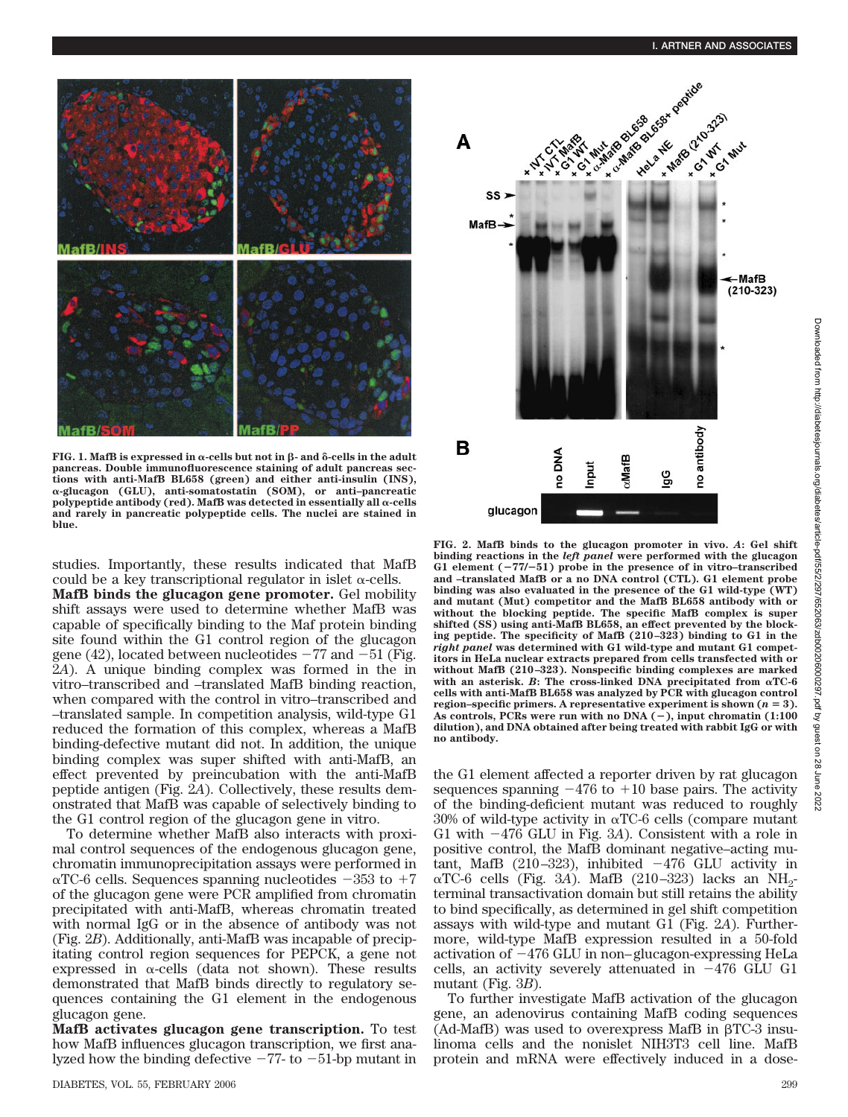

**FIG. 1. MafB is expressed in**  $\alpha$ **-cells but not in**  $\beta$ **- and**  $\delta$ **-cells in the adult pancreas. Double immunofluorescence staining of adult pancreas sections with anti-afB BL658 (green) and either anti-insulin (INS), -glucagon (GLU), anti-somatostatin (SOM), or anti–pancreatic**  $polypeptide$  antibody (red). MafB was detected in essentially all  $\alpha$ -cells **and rarely in pancreatic polypeptide cells. The nuclei are stained in blue.**

studies. Importantly, these results indicated that MafB could be a key transcriptional regulator in islet  $\alpha$ -cells.

**MafB binds the glucagon gene promoter.** Gel mobility shift assays were used to determine whether MafB was capable of specifically binding to the Maf protein binding site found within the G1 control region of the glucagon gene (42), located between nucleotides  $-77$  and  $-51$  (Fig. 2*A*). A unique binding complex was formed in the in vitro–transcribed and –translated MafB binding reaction, when compared with the control in vitro–transcribed and –translated sample. In competition analysis, wild-type G1 reduced the formation of this complex, whereas a MafB binding-defective mutant did not. In addition, the unique binding complex was super shifted with anti-MafB, an effect prevented by preincubation with the anti-MafB peptide antigen (Fig. 2*A*). Collectively, these results demonstrated that MafB was capable of selectively binding to the G1 control region of the glucagon gene in vitro.

To determine whether MafB also interacts with proximal control sequences of the endogenous glucagon gene, chromatin immunoprecipitation assays were performed in  $\alpha$ TC-6 cells. Sequences spanning nucleotides  $-353$  to  $+7$ of the glucagon gene were PCR amplified from chromatin precipitated with anti-MafB, whereas chromatin treated with normal IgG or in the absence of antibody was not (Fig. 2*B*). Additionally, anti-MafB was incapable of precipitating control region sequences for PEPCK, a gene not expressed in  $\alpha$ -cells (data not shown). These results demonstrated that MafB binds directly to regulatory sequences containing the G1 element in the endogenous glucagon gene.

**MafB activates glucagon gene transcription.** To test how MafB influences glucagon transcription, we first analyzed how the binding defective  $-77$ - to  $-51$ -bp mutant in



**FIG. 2. MafB binds to the glucagon promoter in vivo.** *A***: Gel shift binding reactions in the** *left panel* **were performed with the glucagon G1 element (**-**77/**-**51) probe in the presence of in vitro–transcribed and –translated MafB or a no DNA control (CTL). G1 element probe binding was also evaluated in the presence of the G1 wild-type (WT) and mutant (Mut) competitor and the MafB BL658 antibody with or without the blocking peptide. The specific MafB complex is super shifted (SS) using anti-MafB BL658, an effect prevented by the blocking peptide. The specificity of MafB (210–323) binding to G1 in the** *right panel* **was determined with G1 wild-type and mutant G1 competitors in HeLa nuclear extracts prepared from cells transfected with or without MafB (210–323). Nonspecific binding complexes are marked** with an asterisk.  $B$ : The cross-linked DNA precipitated from  $\alpha$ TC-6 **cells with anti-MafB BL658 was analyzed by PCR with glucagon control region–specific primers. A representative experiment is shown (** $n = 3$ **). As controls, PCRs were run with no DNA (**-**), input chromatin (1:100 dilution), and DNA obtained after being treated with rabbit IgG or with no antibody.**

the G1 element affected a reporter driven by rat glucagon sequences spanning  $-476$  to  $+10$  base pairs. The activity of the binding-deficient mutant was reduced to roughly  $30\%$  of wild-type activity in  $\alpha$ TC-6 cells (compare mutant G1 with  $-476$  GLU in Fig. 3A). Consistent with a role in positive control, the MafB dominant negative–acting mutant, MafB  $(210-323)$ , inhibited  $-476$  GLU activity in  $\alpha$ TC-6 cells (Fig. 3*A*). MafB (210–323) lacks an NH<sub>2</sub>terminal transactivation domain but still retains the ability to bind specifically, as determined in gel shift competition assays with wild-type and mutant G1 (Fig. 2*A*). Furthermore, wild-type MafB expression resulted in a 50-fold activation of  $-476$  GLU in non–glucagon-expressing HeLa cells, an activity severely attenuated in  $-476$  GLU G1 mutant (Fig. 3*B*).

To further investigate MafB activation of the glucagon gene, an adenovirus containing MafB coding sequences  $(Ad-MafB)$  was used to overexpress MafB in  $\beta$ TC-3 insulinoma cells and the nonislet NIH3T3 cell line. MafB protein and mRNA were effectively induced in a dose-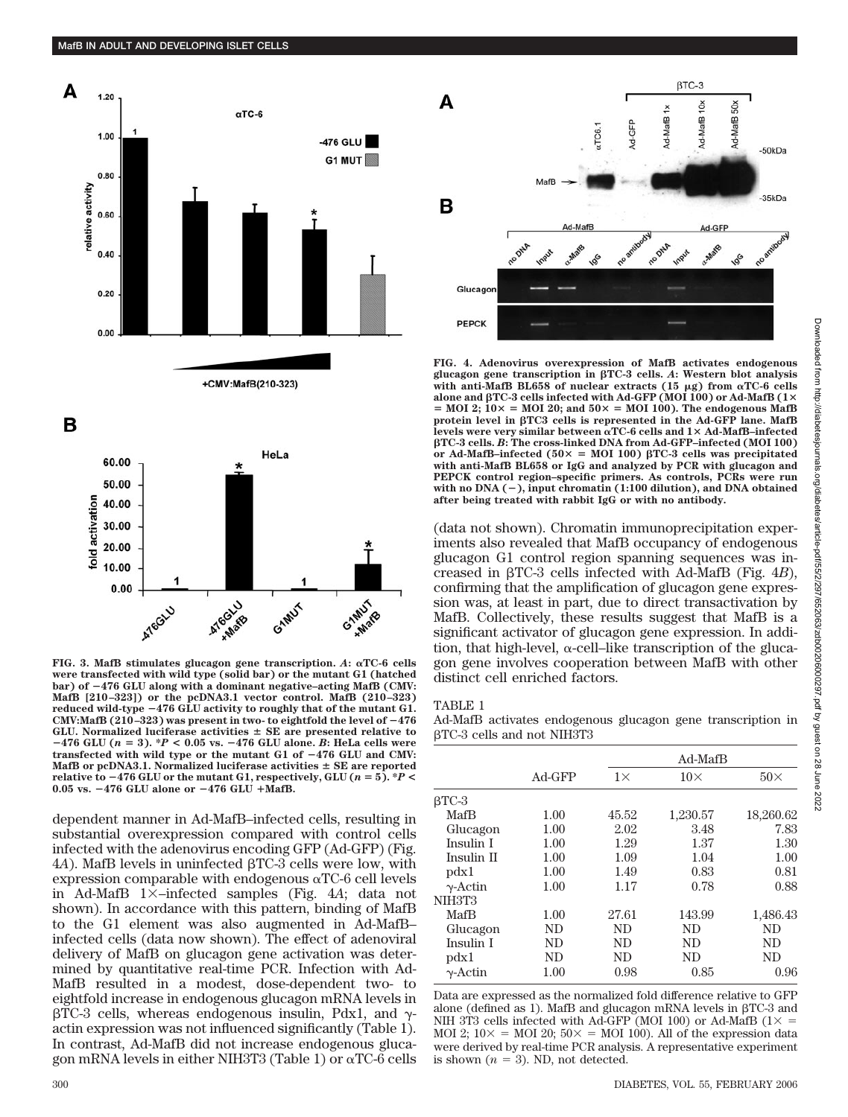



**were transfected with wild type (solid bar) or the mutant G1 (hatched bar) of** -**476 GLU along with a dominant negative–acting MafB (CMV: MafB [210–323]) or the pcDNA3.1 vector control. MafB (210–323) reduced wild-type** -**476 GLU activity to roughly that of the mutant G1.** CMV:MafB  $(210-323)$  was present in two- to eightfold the level of  $-476$ **GLU. Normalized luciferase activities SE are presented relative to** -**476 GLU (***n* **3). \****P* **< 0.05 vs.** -**476 GLU alone.** *B***: HeLa cells were transfected with wild type or the mutant G1 of** -**476 GLU and CMV: MafB or pcDNA3.1. Normalized luciferase activities SE are reported relative to**  $-476$  **GLU or the mutant G1, respectively, GLU (** $n = 5$ **). \*** $P$  **< 0.05 vs.** -**476 GLU alone or** -**476 GLU MafB.**

dependent manner in Ad-MafB–infected cells, resulting in substantial overexpression compared with control cells infected with the adenovirus encoding GFP (Ad-GFP) (Fig. 4*A*). MafB levels in uninfected βTC-3 cells were low, with expression comparable with endogenous  $\alpha$ TC-6 cell levels in Ad-MafB 1 –infected samples (Fig. 4*A*; data not shown). In accordance with this pattern, binding of MafB to the G1 element was also augmented in Ad-MafB– infected cells (data now shown). The effect of adenoviral delivery of MafB on glucagon gene activation was determined by quantitative real-time PCR. Infection with Ad-MafB resulted in a modest, dose-dependent two- to eightfold increase in endogenous glucagon mRNA levels in  $\beta$ TC-3 cells, whereas endogenous insulin, Pdx1, and  $\gamma$ actin expression was not influenced significantly (Table 1). In contrast, Ad-MafB did not increase endogenous glucagon mRNA levels in either NIH3T3 (Table 1) or  $\alpha$ TC-6 cells



**FIG. 4. Adenovirus overexpression of MafB activates endogenous glucagon gene transcription in TC-3 cells.** *A***: Western blot analysis** with anti-MafB BL658 of nuclear extracts  $(15 \mu g)$  from  $\alpha$ TC-6 cells **alone and TC-3 cells infected with Ad-GFP (MOI 100) or Ad-MafB (1**  $=$  MOI 2; 10 $\times$  = MOI 20; and 50 $\times$  = MOI 100). The endogenous MafB protein level in  $\beta$ TC3 cells is represented in the Ad-GFP lane. MafB **levels were very similar between TC-6 cells and 1 Ad-MafB–infected TC-3 cells.** *B***: The cross-linked DNA from Ad-GFP–infected (MOI 100)** or Ad-MafB–infected  $(50 \times = \text{MOI} \ 100) \ \beta \text{TC-3}$  cells was precipitated **with anti-MafB BL658 or IgG and analyzed by PCR with glucagon and PEPCK control region–specific primers. As controls, PCRs were run with no DNA (**-**), input chromatin (1:100 dilution), and DNA obtained after being treated with rabbit IgG or with no antibody.**

(data not shown). Chromatin immunoprecipitation experiments also revealed that MafB occupancy of endogenous glucagon G1 control region spanning sequences was increased in  $\beta$ TC-3 cells infected with Ad-MafB (Fig. 4*B*), confirming that the amplification of glucagon gene expression was, at least in part, due to direct transactivation by MafB. Collectively, these results suggest that MafB is a significant activator of glucagon gene expression. In addition, that high-level,  $\alpha$ -cell–like transcription of the glucagon gene involves cooperation between MafB with other distinct cell enriched factors.

| ,,,, |  |
|------|--|
|------|--|

Ad-MafB activates endogenous glucagon gene transcription in -TC-3 cells and not NIH3T3

|                 | $Ad-GFP$ |           | Ad-MafB    |            |  |
|-----------------|----------|-----------|------------|------------|--|
|                 |          | $1\times$ | $10\times$ | $50\times$ |  |
| $\beta$ TC-3    |          |           |            |            |  |
| MafB            | 1.00     | 45.52     | 1,230.57   | 18,260.62  |  |
| Glucagon        | 1.00     | 2.02      | 3.48       | 7.83       |  |
| Insulin I       | 1.00     | 1.29      | 1.37       | 1.30       |  |
| Insulin II      | 1.00     | 1.09      | 1.04       | 1.00       |  |
| $\text{pdx1}$   | 1.00     | 1.49      | 0.83       | 0.81       |  |
| $\gamma$ -Actin | 1.00     | 1.17      | 0.78       | 0.88       |  |
| NIH3T3          |          |           |            |            |  |
| MafB            | 1.00     | 27.61     | 143.99     | 1,486.43   |  |
| Glucagon        | ND       | ND        | ND         | ND         |  |
| Insulin I       | ND       | ND        | ND.        | ND         |  |
| $\text{pdx1}$   | ND       | ND        | ND.        | ND         |  |
| $\gamma$ -Actin | 1.00     | 0.98      | 0.85       | 0.96       |  |

Data are expressed as the normalized fold difference relative to GFP alone (defined as 1). MafB and glucagon mRNA levels in  $\beta$ TC-3 and NIH 3T3 cells infected with Ad-GFP (MOI 100) or Ad-MafB ( $1\times$  = MOI 2;  $10 \times =$  MOI 20;  $50 \times =$  MOI 100). All of the expression data were derived by real-time PCR analysis. A representative experiment is shown  $(n = 3)$ . ND, not detected.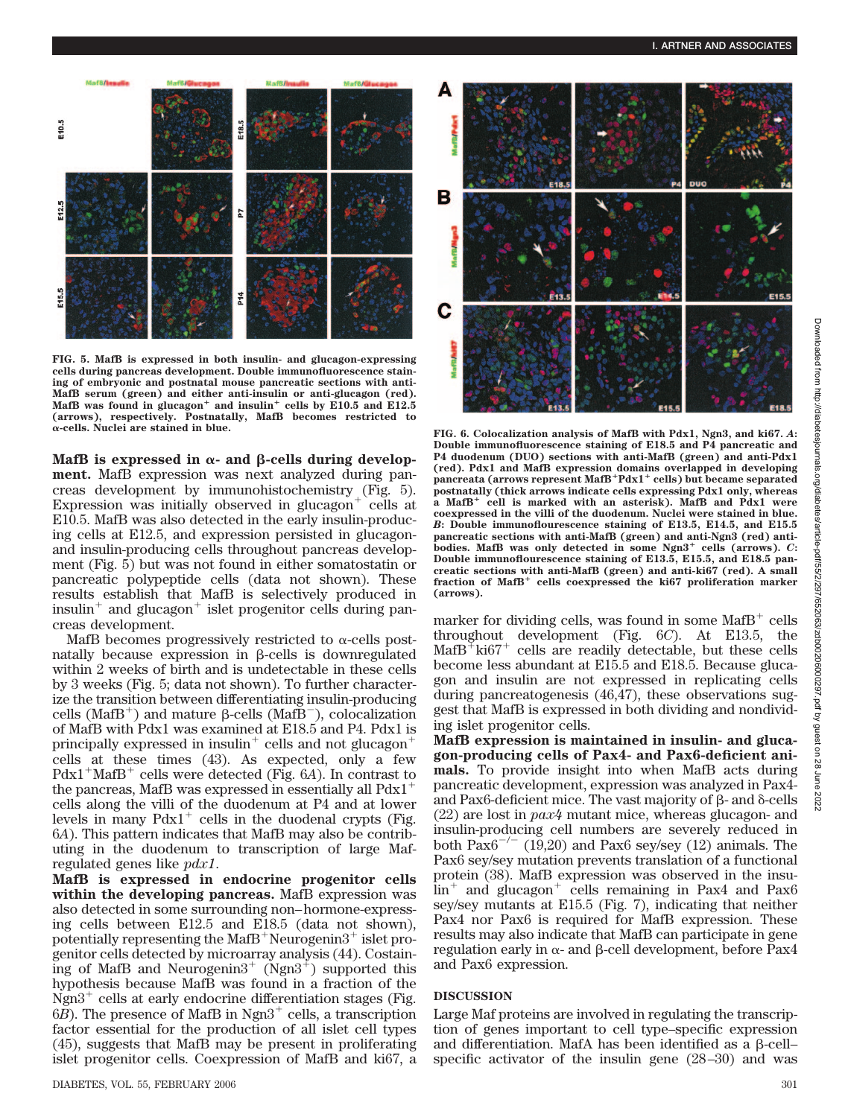

**FIG. 5. MafB is expressed in both insulin- and glucagon-expressing cells during pancreas development. Double immunofluorescence staining of embryonic and postnatal mouse pancreatic sections with anti-MafB serum (green) and either anti-insulin or anti-glucagon (red).** MafB was found in glucagon<sup>+</sup> and insulin<sup>+</sup> cells by E10.5 and E12.5 **(arrows), respectively. Postnatally, MafB becomes restricted to**

MafB is expressed in  $\alpha$ - and  $\beta$ -cells during develop**ment.** MafB expression was next analyzed during pancreas development by immunohistochemistry (Fig. 5). Expression was initially observed in glucagon $<sup>+</sup>$  cells at</sup> E10.5. MafB was also detected in the early insulin-producing cells at E12.5, and expression persisted in glucagonand insulin-producing cells throughout pancreas development (Fig. 5) but was not found in either somatostatin or pancreatic polypeptide cells (data not shown). These results establish that MafB is selectively produced in insulin<sup>+</sup> and glucagon<sup>+</sup> islet progenitor cells during pancreas development.

MafB becomes progressively restricted to  $\alpha$ -cells postnatally because expression in  $\beta$ -cells is downregulated within 2 weeks of birth and is undetectable in these cells by 3 weeks (Fig. 5; data not shown). To further characterize the transition between differentiating insulin-producing cells (MafB<sup>+</sup>) and mature  $\beta$ -cells (MafB<sup>-</sup>), colocalization of MafB with Pdx1 was examined at E18.5 and P4. Pdx1 is principally expressed in insulin<sup>+</sup> cells and not glucagon<sup>+</sup> cells at these times (43). As expected, only a few  $Pdx1+MafB+$  cells were detected (Fig. 6*A*). In contrast to the pancreas, MafB was expressed in essentially all  $Pdx1$ <sup>+</sup> cells along the villi of the duodenum at P4 and at lower levels in many  $Pdx1^+$  cells in the duodenal crypts (Fig. 6*A*). This pattern indicates that MafB may also be contributing in the duodenum to transcription of large Mafregulated genes like *pdx1*.

**MafB is expressed in endocrine progenitor cells** within the developing pancreas. MafB expression was also detected in some surrounding non–hormone-expressing cells between E12.5 and E18.5 (data not shown), potentially representing the MafB<sup>+</sup>Neurogenin $3^+$  islet progenitor cells detected by microarray analysis (44). Costaining of MafB and Neurogenin $3^+$  (Ngn $3^+$ ) supported this hypothesis because MafB was found in a fraction of the Ngn $3^+$  cells at early endocrine differentiation stages (Fig.  $6B$ ). The presence of MafB in Ngn $3^+$  cells, a transcription factor essential for the production of all islet cell types (45), suggests that MafB may be present in proliferating islet progenitor cells. Coexpression of MafB and ki67, a



**-cells. Nuclei are stained in blue. FIG. 6. Colocalization analysis of MafB with Pdx1, Ngn3, and ki67.** *<sup>A</sup>***: Double immunofluorescence staining of E18.5 and P4 pancreatic and P4 duodenum (DUO) sections with anti-MafB (green) and anti-Pdx1 (red). Pdx1 and MafB expression domains overlapped in developing pancreata (arrows represent MafBPdx1 cells) but became separated postnatally (thick arrows indicate cells expressing Pdx1 only, whereas a MafB cell is marked with an asterisk). MafB and Pdx1 were coexpressed in the villi of the duodenum. Nuclei were stained in blue.** *B***: Double immunoflourescence staining of E13.5, E14.5, and E15.5 pancreatic sections with anti-MafB (green) and anti-Ngn3 (red) antibodies.** MafB was only detected in some Ngn3<sup>+</sup> cells (arrows). *C*: **Double immunoflourescence staining of E13.5, E15.5, and E18.5 pancreatic sections with anti-MafB (green) and anti-ki67 (red). A small** fraction of MafB<sup>+</sup> cells coexpressed the ki67 proliferation marker **(arrows).**

marker for dividing cells, was found in some  $\text{MafB}^+$  cells throughout development (Fig. 6*C*). At E13.5, the  $\text{MafB}^{\ddagger}$  ki67<sup>+</sup> cells are readily detectable, but these cells become less abundant at E15.5 and E18.5. Because glucagon and insulin are not expressed in replicating cells during pancreatogenesis (46,47), these observations suggest that MafB is expressed in both dividing and nondividing islet progenitor cells.

**MafB expression is maintained in insulin- and glucagon-producing cells of Pax4- and Pax6-deficient animals.** To provide insight into when MafB acts during pancreatic development, expression was analyzed in Pax4 and Pax6-deficient mice. The vast majority of  $\beta$ - and  $\delta$ -cells (22) are lost in *pax4* mutant mice, whereas glucagon- and insulin-producing cell numbers are severely reduced in both  $Pax6^{-/-}$  (19,20) and Pax6 sey/sey (12) animals. The Pax6 sey/sey mutation prevents translation of a functional protein (38). MafB expression was observed in the insu- $\text{lin}^+$  and glucagon<sup>+</sup> cells remaining in Pax4 and Pax6 sey/sey mutants at E15.5 (Fig. 7), indicating that neither Pax4 nor Pax6 is required for MafB expression. These results may also indicate that MafB can participate in gene regulation early in  $\alpha$ - and  $\beta$ -cell development, before Pax4 and Pax6 expression.

## **DISCUSSION**

Large Maf proteins are involved in regulating the transcription of genes important to cell type–specific expression and differentiation. MafA has been identified as a  $\beta$ -cellspecific activator of the insulin gene (28–30) and was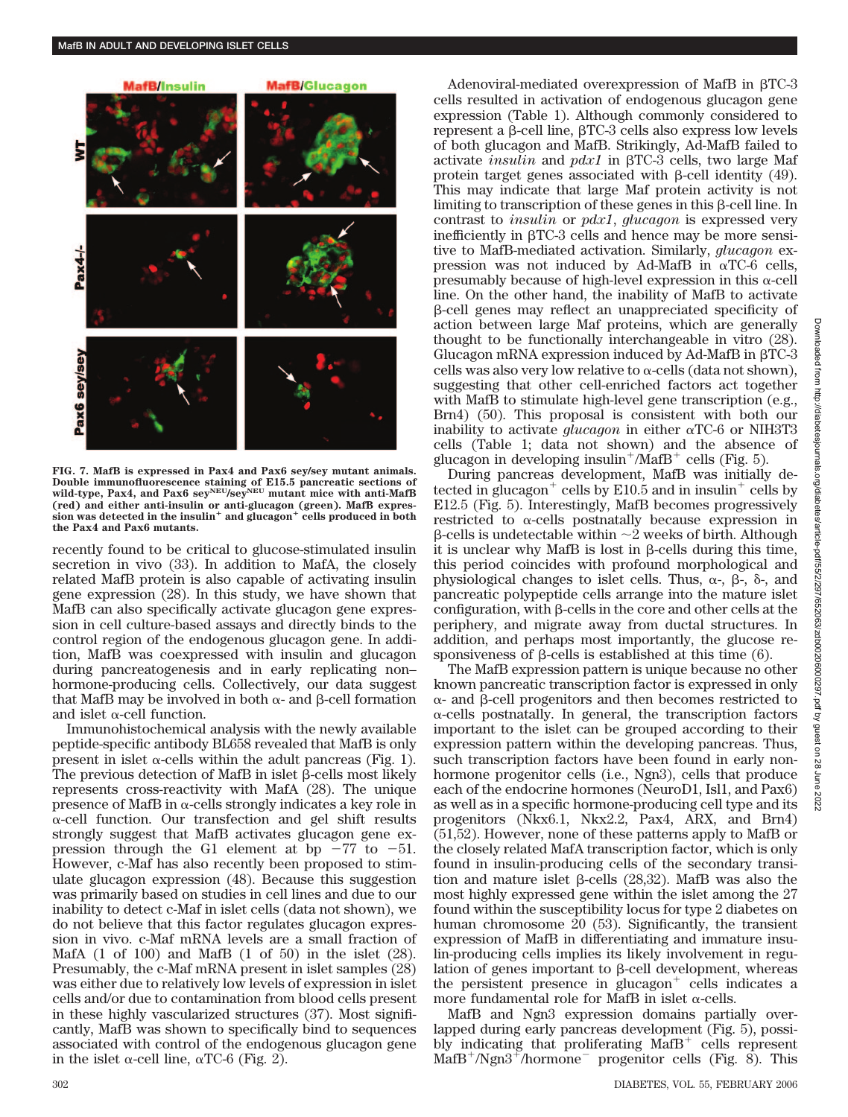

**FIG. 7. MafB is expressed in Pax4 and Pax6 sey/sey mutant animals. Double immunofluorescence staining of E15.5 pancreatic sections of** wild-type, Pax4, and Pax6 sey<sup>NEU</sup>/sey<sup>NEU</sup> mutant mice with anti-MafB **(red) and either anti-insulin or anti-glucagon (green). MafB expression was detected in the insulin and glucagon cells produced in both the Pax4 and Pax6 mutants.**

recently found to be critical to glucose-stimulated insulin secretion in vivo (33). In addition to MafA, the closely related MafB protein is also capable of activating insulin gene expression (28). In this study, we have shown that MafB can also specifically activate glucagon gene expression in cell culture-based assays and directly binds to the control region of the endogenous glucagon gene. In addition, MafB was coexpressed with insulin and glucagon during pancreatogenesis and in early replicating non– hormone-producing cells. Collectively, our data suggest that MafB may be involved in both  $\alpha$ - and  $\beta$ -cell formation and islet  $\alpha$ -cell function.

Immunohistochemical analysis with the newly available peptide-specific antibody BL658 revealed that MafB is only present in islet  $\alpha$ -cells within the adult pancreas (Fig. 1). The previous detection of MafB in islet  $\beta$ -cells most likely represents cross-reactivity with MafA (28). The unique presence of MafB in  $\alpha$ -cells strongly indicates a key role in  $\alpha$ -cell function. Our transfection and gel shift results strongly suggest that MafB activates glucagon gene expression through the G1 element at bp  $-77$  to  $-51$ . However, c-Maf has also recently been proposed to stimulate glucagon expression (48). Because this suggestion was primarily based on studies in cell lines and due to our inability to detect c-Maf in islet cells (data not shown), we do not believe that this factor regulates glucagon expression in vivo. c-Maf mRNA levels are a small fraction of MafA (1 of 100) and MafB (1 of 50) in the islet (28). Presumably, the c-Maf mRNA present in islet samples (28) was either due to relatively low levels of expression in islet cells and/or due to contamination from blood cells present in these highly vascularized structures (37). Most significantly, MafB was shown to specifically bind to sequences associated with control of the endogenous glucagon gene in the islet  $\alpha$ -cell line,  $\alpha$ TC-6 (Fig. 2).

Adenoviral-mediated overexpression of MafB in  $\beta$ TC-3 cells resulted in activation of endogenous glucagon gene expression (Table 1). Although commonly considered to represent a  $\beta$ -cell line,  $\beta$ TC-3 cells also express low levels of both glucagon and MafB. Strikingly, Ad-MafB failed to activate *insulin* and *pdx1* in  $\beta$ TC-3 cells, two large Maf protein target genes associated with  $\beta$ -cell identity (49). This may indicate that large Maf protein activity is not  $limiting to transcription of these genes in this  $\beta$ -cell line. In$ contrast to *insulin* or *pdx1*, *glucagon* is expressed very inefficiently in  $\beta$ TC-3 cells and hence may be more sensitive to MafB-mediated activation. Similarly, *glucagon* expression was not induced by Ad-MafB in  $\alpha$ TC-6 cells, presumably because of high-level expression in this  $\alpha$ -cell line. On the other hand, the inability of MafB to activate --cell genes may reflect an unappreciated specificity of action between large Maf proteins, which are generally thought to be functionally interchangeable in vitro (28). Glucagon mRNA expression induced by Ad-MafB in  $\beta$ TC-3 cells was also very low relative to  $\alpha$ -cells (data not shown), suggesting that other cell-enriched factors act together with MafB to stimulate high-level gene transcription (e.g., Brn4) (50). This proposal is consistent with both our inability to activate  $glucagon$  in either  $\alpha$ TC-6 or NIH3T3 cells (Table 1; data not shown) and the absence of glucagon in developing insulin<sup>+</sup>/MafB<sup>+</sup> cells (Fig. 5).

During pancreas development, MafB was initially detected in glucagon<sup>+</sup> cells by E10.5 and in insulin<sup>+</sup> cells by E12.5 (Fig. 5). Interestingly, MafB becomes progressively restricted to  $\alpha$ -cells postnatally because expression in  $\beta$ -cells is undetectable within  $\sim$ 2 weeks of birth. Although it is unclear why MafB is lost in  $\beta$ -cells during this time, this period coincides with profound morphological and physiological changes to islet cells. Thus,  $\alpha$ -,  $\beta$ -,  $\delta$ -, and pancreatic polypeptide cells arrange into the mature islet configuration, with  $\beta$ -cells in the core and other cells at the periphery, and migrate away from ductal structures. In addition, and perhaps most importantly, the glucose responsiveness of  $\beta$ -cells is established at this time (6).

The MafB expression pattern is unique because no other known pancreatic transcription factor is expressed in only  $\alpha$ - and  $\beta$ -cell progenitors and then becomes restricted to  $\alpha$ -cells postnatally. In general, the transcription factors important to the islet can be grouped according to their expression pattern within the developing pancreas. Thus, such transcription factors have been found in early nonhormone progenitor cells (i.e., Ngn3), cells that produce each of the endocrine hormones (NeuroD1, Isl1, and Pax6) as well as in a specific hormone-producing cell type and its progenitors (Nkx6.1, Nkx2.2, Pax4, ARX, and Brn4) (51,52). However, none of these patterns apply to MafB or the closely related MafA transcription factor, which is only found in insulin-producing cells of the secondary transition and mature islet  $\beta$ -cells (28,32). MafB was also the most highly expressed gene within the islet among the 27 found within the susceptibility locus for type 2 diabetes on human chromosome 20 (53). Significantly, the transient expression of MafB in differentiating and immature insulin-producing cells implies its likely involvement in regulation of genes important to  $\beta$ -cell development, whereas the persistent presence in glucagon $<sup>+</sup>$  cells indicates a</sup> more fundamental role for MafB in islet  $\alpha$ -cells.

MafB and Ngn3 expression domains partially overlapped during early pancreas development (Fig. 5), possibly indicating that proliferating  $\text{MafB}^+$  cells represent  $\text{MafB}^+\text{/Ngn3}^+\text{/hormone}$  progenitor cells (Fig. 8). This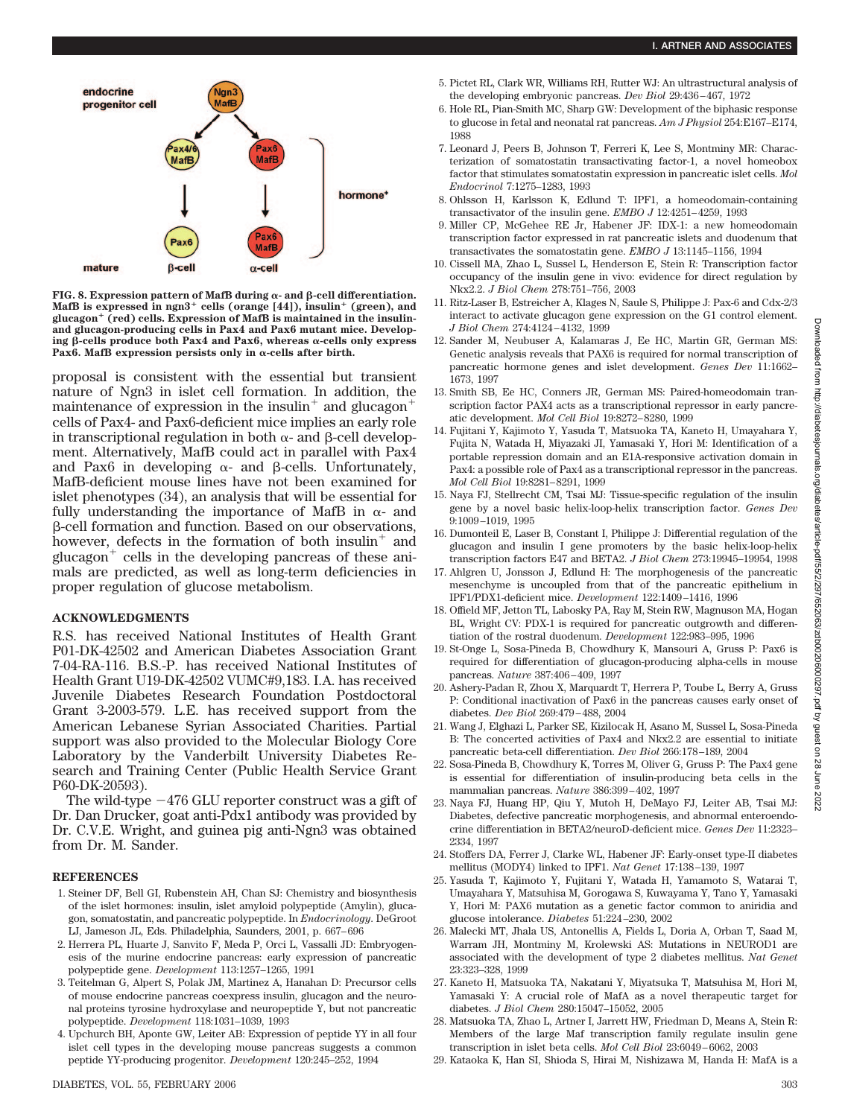

**FIG. 8. Expression pattern of MafB during**  $\alpha$ **- and**  $\beta$ **-cell differentiation. MafB is expressed in ngn3 cells (orange [44]), insulin (green), and glucagon (red) cells. Expression of MafB is maintained in the insulinand glucagon-producing cells in Pax4 and Pax6 mutant mice. Develop**ing  $\beta$ -cells produce both Pax4 and Pax6, whereas  $\alpha$ -cells only express Pax6. MafB expression persists only in  $\alpha$ -cells after birth.

proposal is consistent with the essential but transient nature of Ngn3 in islet cell formation. In addition, the maintenance of expression in the insulin<sup>+</sup> and glucagon<sup>+</sup> cells of Pax4- and Pax6-deficient mice implies an early role in transcriptional regulation in both  $\alpha$ - and  $\beta$ -cell development. Alternatively, MafB could act in parallel with Pax4 and Pax6 in developing  $\alpha$ - and  $\beta$ -cells. Unfortunately, MafB-deficient mouse lines have not been examined for islet phenotypes (34), an analysis that will be essential for fully understanding the importance of MafB in  $\alpha$ - and --cell formation and function. Based on our observations, however, defects in the formation of both insulin<sup> $+$ </sup> and glucagon $<sup>+</sup>$  cells in the developing pancreas of these ani-</sup> mals are predicted, as well as long-term deficiencies in proper regulation of glucose metabolism.

### **ACKNOWLEDGMENTS**

R.S. has received National Institutes of Health Grant P01-DK-42502 and American Diabetes Association Grant 7-04-RA-116. B.S.-P. has received National Institutes of Health Grant U19-DK-42502 VUMC#9,183. I.A. has received Juvenile Diabetes Research Foundation Postdoctoral Grant 3-2003-579. L.E. has received support from the American Lebanese Syrian Associated Charities. Partial support was also provided to the Molecular Biology Core Laboratory by the Vanderbilt University Diabetes Research and Training Center (Public Health Service Grant P60-DK-20593).

The wild-type  $-476$  GLU reporter construct was a gift of Dr. Dan Drucker, goat anti-Pdx1 antibody was provided by Dr. C.V.E. Wright, and guinea pig anti-Ngn3 was obtained from Dr. M. Sander.

### **REFERENCES**

- 1. Steiner DF, Bell GI, Rubenstein AH, Chan SJ: Chemistry and biosynthesis of the islet hormones: insulin, islet amyloid polypeptide (Amylin), glucagon, somatostatin, and pancreatic polypeptide. In *Endocrinology*. DeGroot LJ, Jameson JL, Eds. Philadelphia, Saunders, 2001, p. 667–696
- 2. Herrera PL, Huarte J, Sanvito F, Meda P, Orci L, Vassalli JD: Embryogenesis of the murine endocrine pancreas: early expression of pancreatic polypeptide gene. *Development* 113:1257–1265, 1991
- 3. Teitelman G, Alpert S, Polak JM, Martinez A, Hanahan D: Precursor cells of mouse endocrine pancreas coexpress insulin, glucagon and the neuronal proteins tyrosine hydroxylase and neuropeptide Y, but not pancreatic polypeptide. *Development* 118:1031–1039, 1993
- 4. Upchurch BH, Aponte GW, Leiter AB: Expression of peptide YY in all four islet cell types in the developing mouse pancreas suggests a common peptide YY-producing progenitor. *Development* 120:245–252, 1994
- 5. Pictet RL, Clark WR, Williams RH, Rutter WJ: An ultrastructural analysis of the developing embryonic pancreas. *Dev Biol* 29:436–467, 1972
- 6. Hole RL, Pian-Smith MC, Sharp GW: Development of the biphasic response to glucose in fetal and neonatal rat pancreas. *Am J Physiol* 254:E167–E174, 1988
- 7. Leonard J, Peers B, Johnson T, Ferreri K, Lee S, Montminy MR: Characterization of somatostatin transactivating factor-1, a novel homeobox factor that stimulates somatostatin expression in pancreatic islet cells. *Mol Endocrinol* 7:1275–1283, 1993
- 8. Ohlsson H, Karlsson K, Edlund T: IPF1, a homeodomain-containing transactivator of the insulin gene. *EMBO J* 12:4251–4259, 1993
- 9. Miller CP, McGehee RE Jr, Habener JF: IDX-1: a new homeodomain transcription factor expressed in rat pancreatic islets and duodenum that transactivates the somatostatin gene. *EMBO J* 13:1145–1156, 1994
- 10. Cissell MA, Zhao L, Sussel L, Henderson E, Stein R: Transcription factor occupancy of the insulin gene in vivo: evidence for direct regulation by Nkx2.2. *J Biol Chem* 278:751–756, 2003
- 11. Ritz-Laser B, Estreicher A, Klages N, Saule S, Philippe J: Pax-6 and Cdx-2/3 interact to activate glucagon gene expression on the G1 control element. *J Biol Chem* 274:4124–4132, 1999
- 12. Sander M, Neubuser A, Kalamaras J, Ee HC, Martin GR, German MS: Genetic analysis reveals that PAX6 is required for normal transcription of pancreatic hormone genes and islet development. *Genes Dev* 11:1662– 1673, 1997
- 13. Smith SB, Ee HC, Conners JR, German MS: Paired-homeodomain transcription factor PAX4 acts as a transcriptional repressor in early pancreatic development. *Mol Cell Biol* 19:8272–8280, 1999
- 14. Fujitani Y, Kajimoto Y, Yasuda T, Matsuoka TA, Kaneto H, Umayahara Y, Fujita N, Watada H, Miyazaki JI, Yamasaki Y, Hori M: Identification of a portable repression domain and an E1A-responsive activation domain in Pax4: a possible role of Pax4 as a transcriptional repressor in the pancreas. *Mol Cell Biol* 19:8281–8291, 1999
- 15. Naya FJ, Stellrecht CM, Tsai MJ: Tissue-specific regulation of the insulin gene by a novel basic helix-loop-helix transcription factor. *Genes Dev* 9:1009–1019, 1995
- 16. Dumonteil E, Laser B, Constant I, Philippe J: Differential regulation of the glucagon and insulin I gene promoters by the basic helix-loop-helix transcription factors E47 and BETA2. *J Biol Chem* 273:19945–19954, 1998
- 17. Ahlgren U, Jonsson J, Edlund H: The morphogenesis of the pancreatic mesenchyme is uncoupled from that of the pancreatic epithelium in IPF1/PDX1-deficient mice. *Development* 122:1409–1416, 1996
- 18. Offield MF, Jetton TL, Labosky PA, Ray M, Stein RW, Magnuson MA, Hogan BL, Wright CV: PDX-1 is required for pancreatic outgrowth and differentiation of the rostral duodenum. *Development* 122:983–995, 1996
- 19. St-Onge L, Sosa-Pineda B, Chowdhury K, Mansouri A, Gruss P: Pax6 is required for differentiation of glucagon-producing alpha-cells in mouse pancreas. *Nature* 387:406–409, 1997
- 20. Ashery-Padan R, Zhou X, Marquardt T, Herrera P, Toube L, Berry A, Gruss P: Conditional inactivation of Pax6 in the pancreas causes early onset of diabetes. *Dev Biol* 269:479–488, 2004
- 21. Wang J, Elghazi L, Parker SE, Kizilocak H, Asano M, Sussel L, Sosa-Pineda B: The concerted activities of Pax4 and Nkx2.2 are essential to initiate pancreatic beta-cell differentiation. *Dev Biol* 266:178–189, 2004
- 22. Sosa-Pineda B, Chowdhury K, Torres M, Oliver G, Gruss P: The Pax4 gene is essential for differentiation of insulin-producing beta cells in the mammalian pancreas. *Nature* 386:399–402, 1997
- 23. Naya FJ, Huang HP, Qiu Y, Mutoh H, DeMayo FJ, Leiter AB, Tsai MJ: Diabetes, defective pancreatic morphogenesis, and abnormal enteroendocrine differentiation in BETA2/neuroD-deficient mice. *Genes Dev* 11:2323– 2334, 1997
- 24. Stoffers DA, Ferrer J, Clarke WL, Habener JF: Early-onset type-II diabetes mellitus (MODY4) linked to IPF1. *Nat Genet* 17:138–139, 1997
- 25. Yasuda T, Kajimoto Y, Fujitani Y, Watada H, Yamamoto S, Watarai T, Umayahara Y, Matsuhisa M, Gorogawa S, Kuwayama Y, Tano Y, Yamasaki Y, Hori M: PAX6 mutation as a genetic factor common to aniridia and glucose intolerance. *Diabetes* 51:224–230, 2002
- 26. Malecki MT, Jhala US, Antonellis A, Fields L, Doria A, Orban T, Saad M, Warram JH, Montminy M, Krolewski AS: Mutations in NEUROD1 are associated with the development of type 2 diabetes mellitus. *Nat Genet* 23:323–328, 1999
- 27. Kaneto H, Matsuoka TA, Nakatani Y, Miyatsuka T, Matsuhisa M, Hori M, Yamasaki Y: A crucial role of MafA as a novel therapeutic target for diabetes. *J Biol Chem* 280:15047–15052, 2005
- 28. Matsuoka TA, Zhao L, Artner I, Jarrett HW, Friedman D, Means A, Stein R: Members of the large Maf transcription family regulate insulin gene transcription in islet beta cells. *Mol Cell Biol* 23:6049–6062, 2003
- 29. Kataoka K, Han SI, Shioda S, Hirai M, Nishizawa M, Handa H: MafA is a